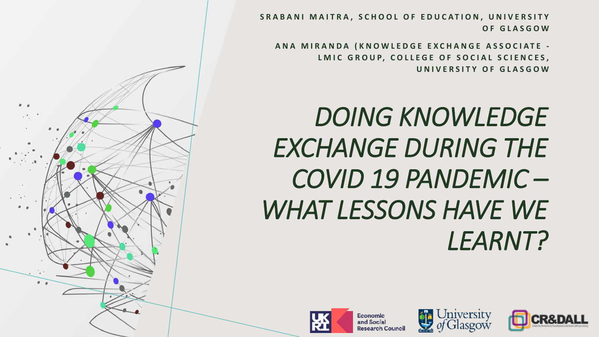SRABANI MAITRA, SCHOOL OF EDUCATION, UNIVERSITY **O F G L A S G O W**

**A N A M I R A N D A ( K N O W L E D G E E X C H A N G E A S S O C I A T E -** LMIC GROUP, COLLEGE OF SOCIAL SCIENCES, **U N I V E R S I T Y O F G L A S G O W**

## **DOING KNOWLEDGE** *EXCHANGE DURING THE COVID 19 PANDEMIC – WHAT LESSONS HAVE WE LEARNT?*



Jniversity





Economic

and Social **Research Council**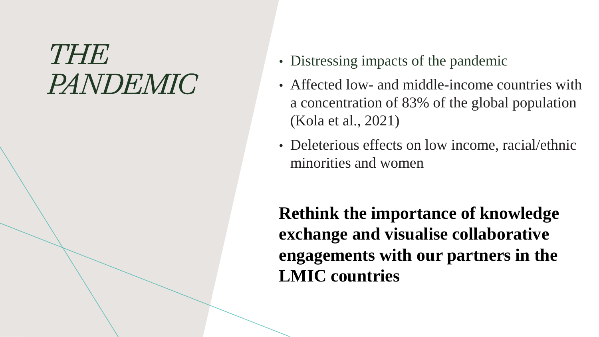### *THE PANDEMIC*

- Distressing impacts of the pandemic
- Affected low- and middle-income countries with a concentration of 83% of the global population (Kola et al., 2021)
- Deleterious effects on low income, racial/ethnic minorities and women

**Rethink the importance of knowledge exchange and visualise collaborative engagements with our partners in the LMIC countries**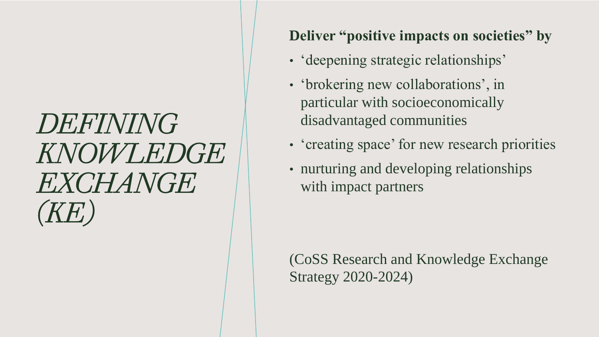## *DEFINING KNOWLEDGE EXCHANGE (KE)*

#### **Deliver "positive impacts on societies" by**

- 'deepening strategic relationships'
- 'brokering new collaborations', in particular with socioeconomically disadvantaged communities
- 'creating space' for new research priorities
- nurturing and developing relationships with impact partners

(CoSS Research and Knowledge Exchange Strategy 2020-2024)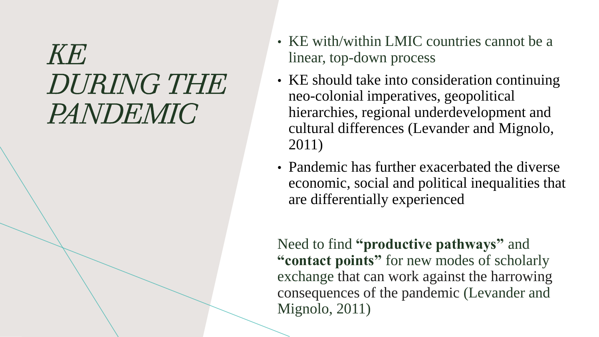### $KH'$ *DURING THE PANDEMIC*

- KE with/within LMIC countries cannot be a linear, top-down process
- KE should take into consideration continuing neo-colonial imperatives, geopolitical hierarchies, regional underdevelopment and cultural differences (Levander and Mignolo, 2011)
- Pandemic has further exacerbated the diverse economic, social and political inequalities that are differentially experienced

Need to find **"productive pathways"** and **"contact points"** for new modes of scholarly exchange that can work against the harrowing consequences of the pandemic (Levander and Mignolo, 2011)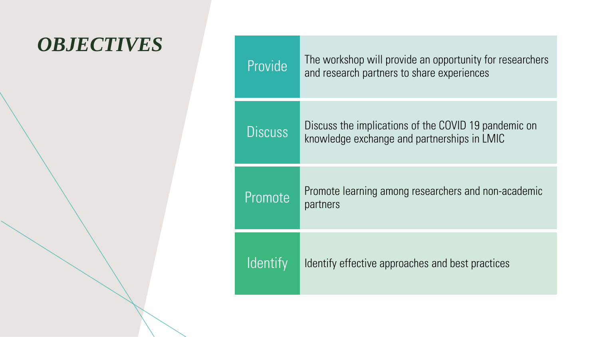#### *OBJECTIVES*

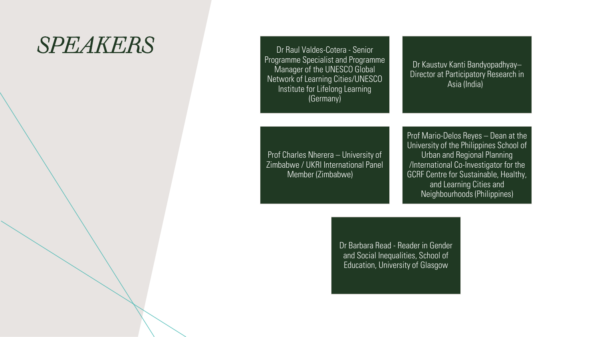#### *SPEAKERS* Dr Raul Valdes-Cotera - Senior

Programme Specialist and Programme Manager of the UNESCO Global Network of Learning Cities/UNESCO Institute for Lifelong Learning (Germany)

Dr Kaustuv Kanti Bandyopadhyay– Director at Participatory Research in Asia (India)

Prof Charles Nherera – University of Zimbabwe / UKRI International Panel Member (Zimbabwe)

Prof Mario-Delos Reyes – Dean at the University of the Philippines School of Urban and Regional Planning /International Co-Investigator for the GCRF Centre for Sustainable, Healthy, and Learning Cities and Neighbourhoods (Philippines)

Dr Barbara Read - Reader in Gender and Social Inequalities, School of Education, University of Glasgow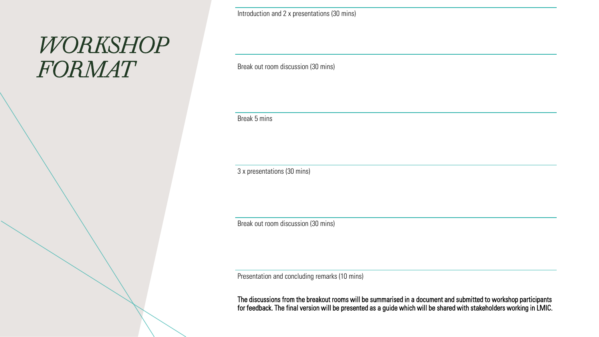#### *WORKSHOP FORMAT*

Break 5 mins

3 x presentations (30 mins)

Break out room discussion (30 mins)

Introduction and 2 x presentations (30 mins)

Break out room discussion (30 mins)

Presentation and concluding remarks (10 mins)

The discussions from the breakout rooms will be summarised in a document and submitted to workshop participants for feedback. The final version will be presented as a guide which will be shared with stakeholders working in LMIC.